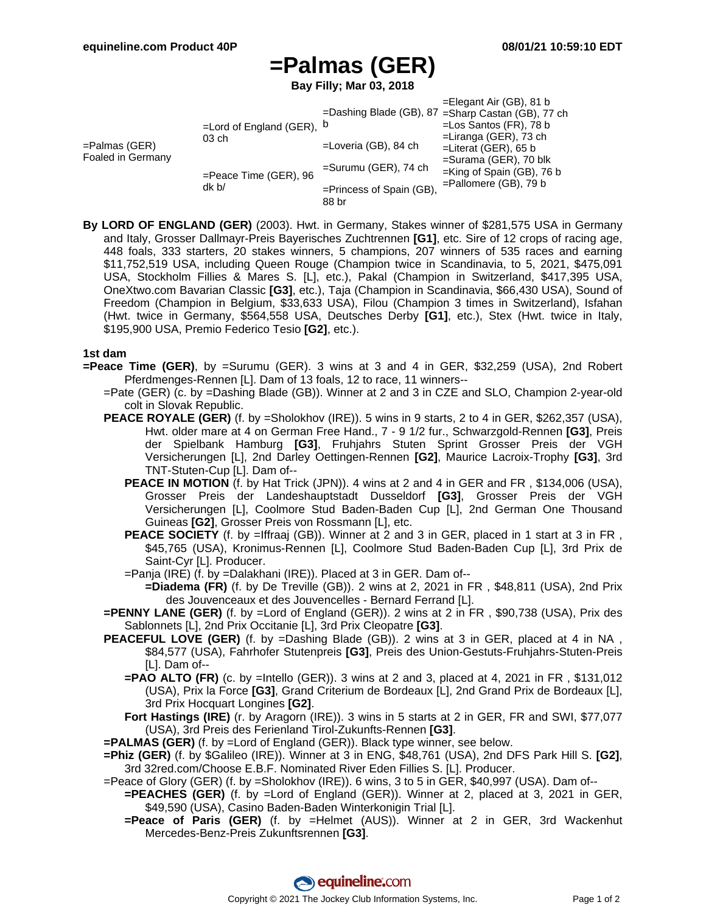## **=Palmas (GER)**

**Bay Filly; Mar 03, 2018**

|                                       |                                        |                          | $=$ Elegant Air (GB), 81 b                         |
|---------------------------------------|----------------------------------------|--------------------------|----------------------------------------------------|
| $=$ Palmas (GER)<br>Foaled in Germany | =Lord of England (GER), $b$<br>$03$ ch |                          | =Dashing Blade (GB), 87 = Sharp Castan (GB), 77 ch |
|                                       |                                        |                          | $=$ Los Santos (FR), 78 b                          |
|                                       |                                        | =Loveria (GB), 84 ch     | $=$ Liranga (GER), 73 ch                           |
|                                       |                                        |                          | $=$ Literat (GER), 65 b                            |
|                                       | =Peace Time (GER), 96<br>dk b/         | $=$ Surumu (GER), 74 ch  | $=$ Surama (GER), 70 blk                           |
|                                       |                                        |                          | $=$ King of Spain (GB), 76 b                       |
|                                       |                                        | =Princess of Spain (GB), | $=$ Pallomere (GB), 79 b                           |
|                                       |                                        | 88 br                    |                                                    |

**By LORD OF ENGLAND (GER)** (2003). Hwt. in Germany, Stakes winner of \$281,575 USA in Germany and Italy, Grosser Dallmayr-Preis Bayerisches Zuchtrennen **[G1]**, etc. Sire of 12 crops of racing age, 448 foals, 333 starters, 20 stakes winners, 5 champions, 207 winners of 535 races and earning \$11,752,519 USA, including Queen Rouge (Champion twice in Scandinavia, to 5, 2021, \$475,091 USA, Stockholm Fillies & Mares S. [L], etc.), Pakal (Champion in Switzerland, \$417,395 USA, OneXtwo.com Bavarian Classic **[G3]**, etc.), Taja (Champion in Scandinavia, \$66,430 USA), Sound of Freedom (Champion in Belgium, \$33,633 USA), Filou (Champion 3 times in Switzerland), Isfahan (Hwt. twice in Germany, \$564,558 USA, Deutsches Derby **[G1]**, etc.), Stex (Hwt. twice in Italy, \$195,900 USA, Premio Federico Tesio **[G2]**, etc.).

## **1st dam**

- **=Peace Time (GER)**, by =Surumu (GER). 3 wins at 3 and 4 in GER, \$32,259 (USA), 2nd Robert Pferdmenges-Rennen [L]. Dam of 13 foals, 12 to race, 11 winners--
	- =Pate (GER) (c. by =Dashing Blade (GB)). Winner at 2 and 3 in CZE and SLO, Champion 2-year-old colt in Slovak Republic.
	- **PEACE ROYALE (GER)** (f. by =Sholokhov (IRE)). 5 wins in 9 starts, 2 to 4 in GER, \$262,357 (USA), Hwt. older mare at 4 on German Free Hand., 7 - 9 1/2 fur., Schwarzgold-Rennen **[G3]**, Preis der Spielbank Hamburg **[G3]**, Fruhjahrs Stuten Sprint Grosser Preis der VGH Versicherungen [L], 2nd Darley Oettingen-Rennen **[G2]**, Maurice Lacroix-Trophy **[G3]**, 3rd TNT-Stuten-Cup [L]. Dam of--
		- **PEACE IN MOTION** (f. by Hat Trick (JPN)). 4 wins at 2 and 4 in GER and FR, \$134,006 (USA), Grosser Preis der Landeshauptstadt Dusseldorf **[G3]**, Grosser Preis der VGH Versicherungen [L], Coolmore Stud Baden-Baden Cup [L], 2nd German One Thousand Guineas **[G2]**, Grosser Preis von Rossmann [L], etc.
		- PEACE SOCIETY (f. by =Iffraaj (GB)). Winner at 2 and 3 in GER, placed in 1 start at 3 in FR, \$45,765 (USA), Kronimus-Rennen [L], Coolmore Stud Baden-Baden Cup [L], 3rd Prix de Saint-Cyr [L]. Producer.
		- =Panja (IRE) (f. by =Dalakhani (IRE)). Placed at 3 in GER. Dam of--
			- **=Diadema (FR)** (f. by De Treville (GB)). 2 wins at 2, 2021 in FR , \$48,811 (USA), 2nd Prix des Jouvenceaux et des Jouvencelles - Bernard Ferrand [L].
	- **=PENNY LANE (GER)** (f. by =Lord of England (GER)). 2 wins at 2 in FR , \$90,738 (USA), Prix des Sablonnets [L], 2nd Prix Occitanie [L], 3rd Prix Cleopatre **[G3]**.
	- **PEACEFUL LOVE (GER)** (f. by =Dashing Blade (GB)). 2 wins at 3 in GER, placed at 4 in NA , \$84,577 (USA), Fahrhofer Stutenpreis **[G3]**, Preis des Union-Gestuts-Fruhjahrs-Stuten-Preis [L]. Dam of--
		- **=PAO ALTO (FR)** (c. by =Intello (GER)). 3 wins at 2 and 3, placed at 4, 2021 in FR , \$131,012 (USA), Prix la Force **[G3]**, Grand Criterium de Bordeaux [L], 2nd Grand Prix de Bordeaux [L], 3rd Prix Hocquart Longines **[G2]**.
		- **Fort Hastings (IRE)** (r. by Aragorn (IRE)). 3 wins in 5 starts at 2 in GER, FR and SWI, \$77,077 (USA), 3rd Preis des Ferienland Tirol-Zukunfts-Rennen **[G3]**.

**=PALMAS (GER)** (f. by =Lord of England (GER)). Black type winner, see below.

**=Phiz (GER)** (f. by \$Galileo (IRE)). Winner at 3 in ENG, \$48,761 (USA), 2nd DFS Park Hill S. **[G2]**, 3rd 32red.com/Choose E.B.F. Nominated River Eden Fillies S. [L]. Producer.

=Peace of Glory (GER) (f. by =Sholokhov (IRE)). 6 wins, 3 to 5 in GER, \$40,997 (USA). Dam of--

- **=PEACHES (GER)** (f. by =Lord of England (GER)). Winner at 2, placed at 3, 2021 in GER, \$49,590 (USA), Casino Baden-Baden Winterkonigin Trial [L].
- **=Peace of Paris (GER)** (f. by =Helmet (AUS)). Winner at 2 in GER, 3rd Wackenhut Mercedes-Benz-Preis Zukunftsrennen **[G3]**.